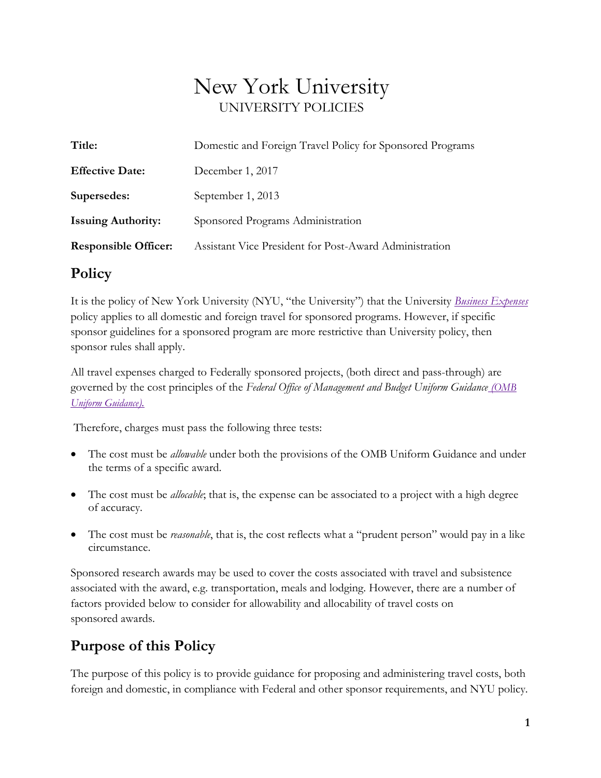# New York University UNIVERSITY POLICIES

| Title:                      | Domestic and Foreign Travel Policy for Sponsored Programs |
|-----------------------------|-----------------------------------------------------------|
| <b>Effective Date:</b>      | December 1, 2017                                          |
| Supersedes:                 | September 1, 2013                                         |
| <b>Issuing Authority:</b>   | Sponsored Programs Administration                         |
| <b>Responsible Officer:</b> | Assistant Vice President for Post-Award Administration    |

## **Policy**

It is the policy of New York University (NYU, "the University") that the University *[Business Expenses](http://www.nyu.edu/about/policies-guidelines-compliance/policies-and-guidelines/business-expenses.html)* policy applies to all domestic and foreign travel for sponsored programs. However, if specific sponsor guidelines for a sponsored program are more restrictive than University policy, then sponsor rules shall apply.

All travel expenses charged to Federally sponsored projects, (both direct and pass-through) are governed by the cost principles of the *Federal Office of Management and Budget Uniform Guidance [\(OMB](http://www.ecfr.gov/cgi-bin/text-idx?tpl=/ecfrbrowse/Title02/2cfr200_main_02.tpl)  [Uniform Guidance\)](http://www.ecfr.gov/cgi-bin/text-idx?tpl=/ecfrbrowse/Title02/2cfr200_main_02.tpl).*

Therefore, charges must pass the following three tests:

- The cost must be *allowable* under both the provisions of the OMB Uniform Guidance and under the terms of a specific award.
- The cost must be *allocable*; that is, the expense can be associated to a project with a high degree of accuracy.
- The cost must be *reasonable*, that is, the cost reflects what a "prudent person" would pay in a like circumstance.

Sponsored research awards may be used to cover the costs associated with travel and subsistence associated with the award, e.g. transportation, meals and lodging. However, there are a number of factors provided below to consider for allowability and allocability of travel costs on sponsored awards.

# **Purpose of this Policy**

The purpose of this policy is to provide guidance for proposing and administering travel costs, both foreign and domestic, in compliance with Federal and other sponsor requirements, and NYU policy.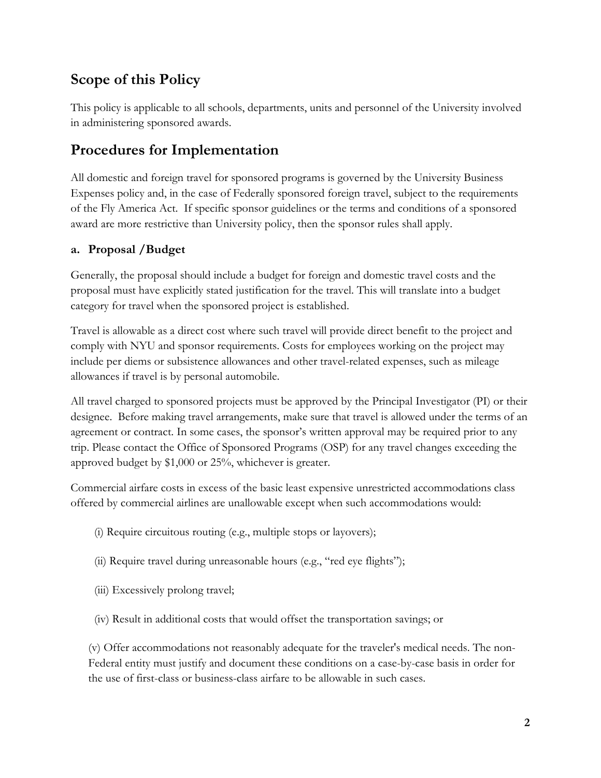# **Scope of this Policy**

This policy is applicable to all schools, departments, units and personnel of the University involved in administering sponsored awards.

# **Procedures for Implementation**

All domestic and foreign travel for sponsored programs is governed by the University Business Expenses policy and, in the case of Federally sponsored foreign travel, subject to the requirements of the Fly America Act. If specific sponsor guidelines or the terms and conditions of a sponsored award are more restrictive than University policy, then the sponsor rules shall apply.

## **a. Proposal /Budget**

Generally, the proposal should include a budget for foreign and domestic travel costs and the proposal must have explicitly stated justification for the travel. This will translate into a budget category for travel when the sponsored project is established.

Travel is allowable as a direct cost where such travel will provide direct benefit to the project and comply with NYU and sponsor requirements. Costs for employees working on the project may include per diems or subsistence allowances and other travel-related expenses, such as mileage allowances if travel is by personal automobile.

All travel charged to sponsored projects must be approved by the Principal Investigator (PI) or their designee. Before making travel arrangements, make sure that travel is allowed under the terms of an agreement or contract. In some cases, the sponsor's written approval may be required prior to any trip. Please contact the Office of Sponsored Programs (OSP) for any travel changes exceeding the approved budget by \$1,000 or 25%, whichever is greater.

Commercial airfare costs in excess of the basic least expensive unrestricted accommodations class offered by commercial airlines are unallowable except when such accommodations would:

- (i) Require circuitous routing (e.g., multiple stops or layovers);
- (ii) Require travel during unreasonable hours (e.g., "red eye flights");
- (iii) Excessively prolong travel;
- (iv) Result in additional costs that would offset the transportation savings; or

(v) Offer accommodations not reasonably adequate for the traveler's medical needs. The non-Federal entity must justify and document these conditions on a case-by-case basis in order for the use of first-class or business-class airfare to be allowable in such cases.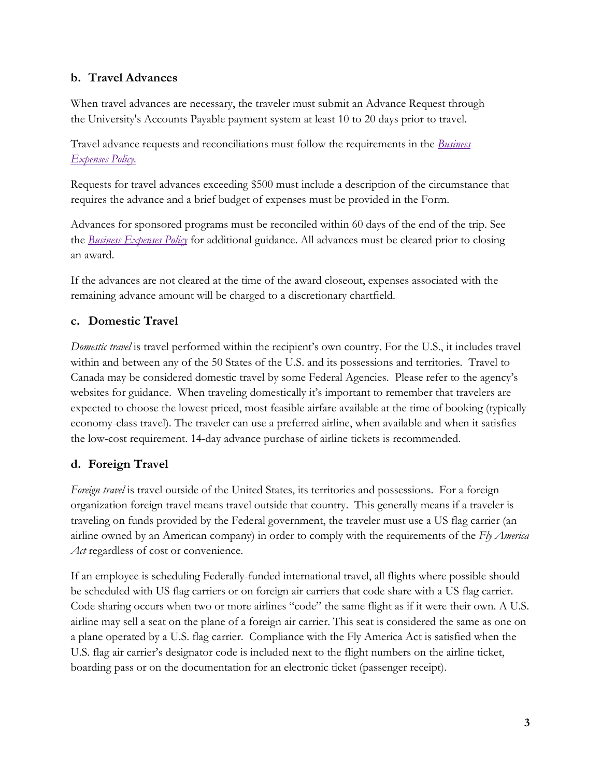### **b. Travel Advances**

When travel advances are necessary, the traveler must submit an Advance Request through the University's Accounts Payable payment system at least 10 to 20 days prior to travel.

Travel advance requests and reconciliations must follow the requirements in the *[Business](http://www.nyu.edu/about/policies-guidelines-compliance/policies-and-guidelines/business-expenses.html)  [Expenses Policy.](http://www.nyu.edu/about/policies-guidelines-compliance/policies-and-guidelines/business-expenses.html)*

Requests for travel advances exceeding \$500 must include a description of the circumstance that requires the advance and a brief budget of expenses must be provided in the Form.

Advances for sponsored programs must be reconciled within 60 days of the end of the trip. See the *[Business Expenses Policy](http://www.nyu.edu/about/policies-guidelines-compliance/policies-and-guidelines/business-expenses.html)* for additional guidance. All advances must be cleared prior to closing an award.

If the advances are not cleared at the time of the award closeout, expenses associated with the remaining advance amount will be charged to a discretionary chartfield.

## **c. Domestic Travel**

*Domestic travel* is travel performed within the recipient's own country. For the U.S., it includes travel within and between any of the 50 States of the U.S. and its possessions and territories. Travel to Canada may be considered domestic travel by some Federal Agencies. Please refer to the agency's websites for guidance. When traveling domestically it's important to remember that travelers are expected to choose the lowest priced, most feasible airfare available at the time of booking (typically economy-class travel). The traveler can use a preferred airline, when available and when it satisfies the low-cost requirement. 14-day advance purchase of airline tickets is recommended.

## **d. Foreign Travel**

*Foreign travel* is travel outside of the United States, its territories and possessions. For a foreign organization foreign travel means travel outside that country. This generally means if a traveler is traveling on funds provided by the Federal government, the traveler must use a US flag carrier (an airline owned by an American company) in order to comply with the requirements of the *Fly America*  Act regardless of cost or convenience.

If an employee is scheduling Federally-funded international travel, all flights where possible should be scheduled with US flag carriers or on foreign air carriers that code share with a US flag carrier. Code sharing occurs when two or more airlines "code" the same flight as if it were their own. A U.S. airline may sell a seat on the plane of a foreign air carrier. This seat is considered the same as one on a plane operated by a U.S. flag carrier. Compliance with the Fly America Act is satisfied when the U.S. flag air carrier's designator code is included next to the flight numbers on the airline ticket, boarding pass or on the documentation for an electronic ticket (passenger receipt).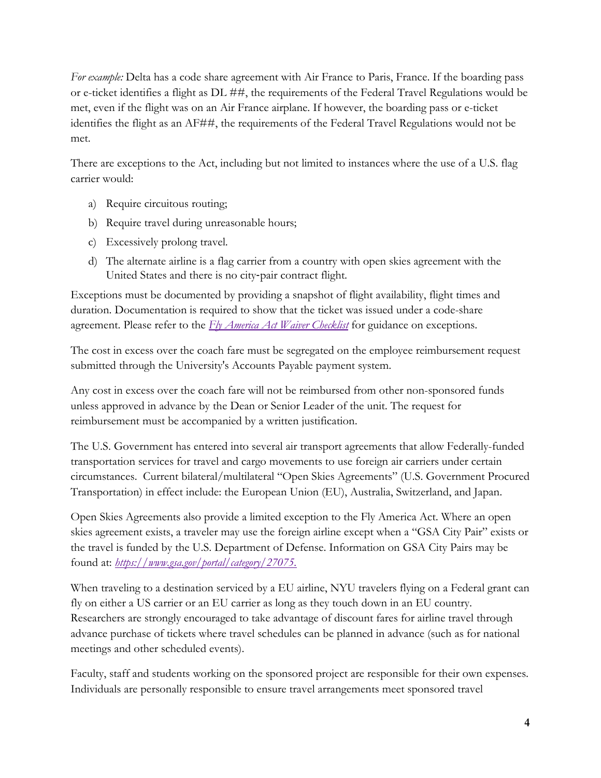*For example:* Delta has a code share agreement with Air France to Paris, France. If the boarding pass or e-ticket identifies a flight as DL ##, the requirements of the Federal Travel Regulations would be met, even if the flight was on an Air France airplane. If however, the boarding pass or e-ticket identifies the flight as an AF##, the requirements of the Federal Travel Regulations would not be met.

There are exceptions to the Act, including but not limited to instances where the use of a U.S. flag carrier would:

- a) Require circuitous routing;
- b) Require travel during unreasonable hours;
- c) Excessively prolong travel.
- d) The alternate airline is a flag carrier from a country with open skies agreement with the United States and there is no city‐pair contract flight.

Exceptions must be documented by providing a snapshot of flight availability, flight times and duration. Documentation is required to show that the ticket was issued under a code-share agreement. Please refer to the *[Fly America Act Waiver Checklist](https://www.nyu.edu/content/dam/nyu/sponsoredPrgmsAdmin/documents/SPAHdbk-FlyAmericaActWaiverChecklist.pdf)* for guidance on exceptions.

The cost in excess over the coach fare must be segregated on the employee reimbursement request submitted through the University's Accounts Payable payment system.

Any cost in excess over the coach fare will not be reimbursed from other non-sponsored funds unless approved in advance by the Dean or Senior Leader of the unit. The request for reimbursement must be accompanied by a written justification.

The U.S. Government has entered into several air transport agreements that allow Federally-funded transportation services for travel and cargo movements to use foreign air carriers under certain circumstances. Current bilateral/multilateral "Open Skies Agreements" (U.S. Government Procured Transportation) in effect include: the European Union (EU), Australia, Switzerland, and Japan.

Open Skies Agreements also provide a limited exception to the Fly America Act. Where an open skies agreement exists, a traveler may use the foreign airline except when a "GSA City Pair" exists or the travel is funded by the U.S. Department of Defense. Information on GSA City Pairs may be found at: *https://www.gsa.gov/portal/category/27075.*

When traveling to a destination serviced by a EU airline, NYU travelers flying on a Federal grant can fly on either a US carrier or an EU carrier as long as they touch down in an EU country. Researchers are strongly encouraged to take advantage of discount fares for airline travel through advance purchase of tickets where travel schedules can be planned in advance (such as for national meetings and other scheduled events).

Faculty, staff and students working on the sponsored project are responsible for their own expenses. Individuals are personally responsible to ensure travel arrangements meet sponsored travel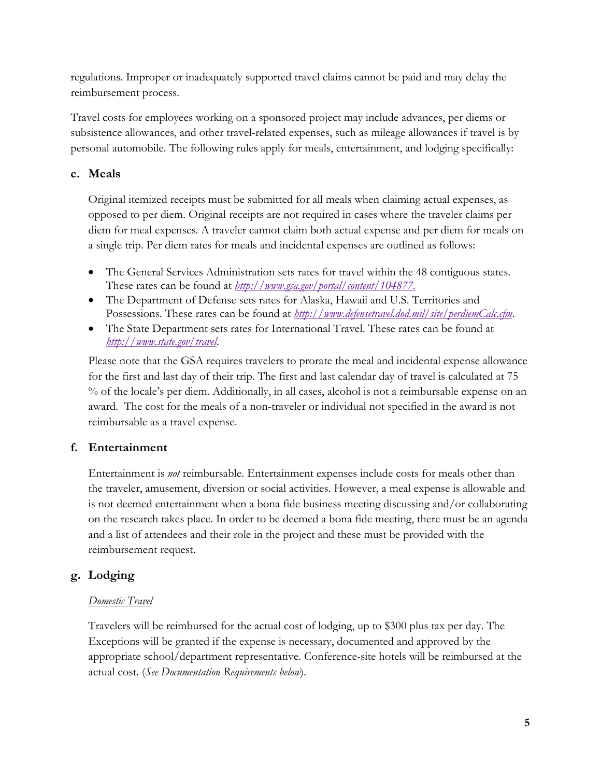regulations. Improper or inadequately supported travel claims cannot be paid and may delay the reimbursement process.

Travel costs for employees working on a sponsored project may include advances, per diems or subsistence allowances, and other travel-related expenses, such as mileage allowances if travel is by personal automobile. The following rules apply for meals, entertainment, and lodging specifically:

#### **e. Meals**

Original itemized receipts must be submitted for all meals when claiming actual expenses, as opposed to per diem. Original receipts are not required in cases where the traveler claims per diem for meal expenses. A traveler cannot claim both actual expense and per diem for meals on a single trip. Per diem rates for meals and incidental expenses are outlined as follows:

- The General Services Administration sets rates for travel within the 48 contiguous states. These rates can be found at *[http://www.gsa.gov/portal/content/104877.](http://www.gsa.gov/portal/content/104877)*
- The Department of Defense sets rates for Alaska, Hawaii and U.S. Territories and Possessions. These rates can be found at *<http://www.defensetravel.dod.mil/site/perdiemCalc.cfm>*.
- The State Department sets rates for International Travel. These rates can be found at *<http://www.state.gov/travel>*.

Please note that the GSA requires travelers to prorate the meal and incidental expense allowance for the first and last day of their trip. The first and last calendar day of travel is calculated at 75 % of the locale's per diem. Additionally, in all cases, alcohol is not a reimbursable expense on an award. The cost for the meals of a non-traveler or individual not specified in the award is not reimbursable as a travel expense.

## **f. Entertainment**

Entertainment is *not* reimbursable. Entertainment expenses include costs for meals other than the traveler, amusement, diversion or social activities. However, a meal expense is allowable and is not deemed entertainment when a bona fide business meeting discussing and/or collaborating on the research takes place. In order to be deemed a bona fide meeting, there must be an agenda and a list of attendees and their role in the project and these must be provided with the reimbursement request.

## **g. Lodging**

#### *Domestic Travel*

Travelers will be reimbursed for the actual cost of lodging, up to \$300 plus tax per day. The Exceptions will be granted if the expense is necessary, documented and approved by the appropriate school/department representative. Conference-site hotels will be reimbursed at the actual cost. (*See Documentation Requirements below*).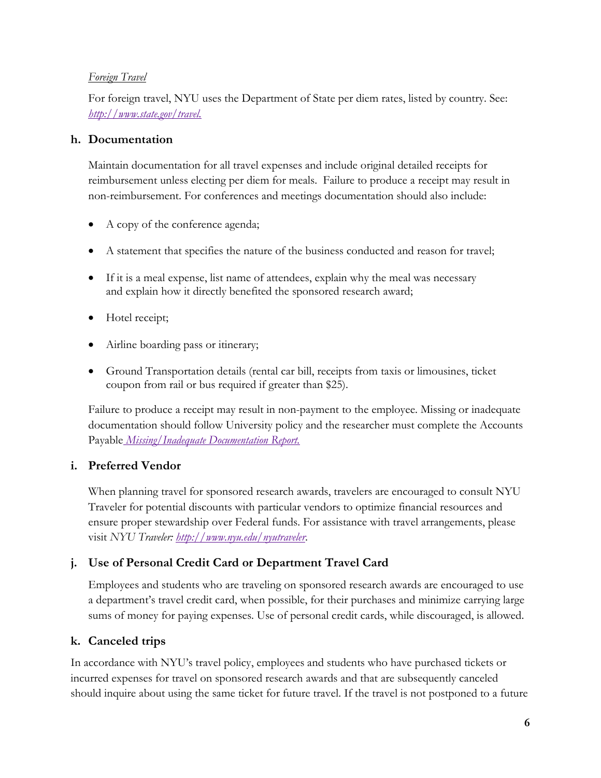#### *Foreign Travel*

For foreign travel, NYU uses the Department of State per diem rates, listed by country. See: *[http://www.state.gov/travel.](http://www.state.gov/travel)*

#### **h. Documentation**

Maintain documentation for all travel expenses and include original detailed receipts for reimbursement unless electing per diem for meals. Failure to produce a receipt may result in non-reimbursement. For conferences and meetings documentation should also include:

- A copy of the conference agenda;
- A statement that specifies the nature of the business conducted and reason for travel;
- If it is a meal expense, list name of attendees, explain why the meal was necessary and explain how it directly benefited the sponsored research award;
- Hotel receipt;
- Airline boarding pass or itinerary;
- Ground Transportation details (rental car bill, receipts from taxis or limousines, ticket coupon from rail or bus required if greater than \$25).

Failure to produce a receipt may result in non-payment to the employee. Missing or inadequate documentation should follow University policy and the researcher must complete the [Accounts](https://www.nyu.edu/content/dam/nyu/financialOperationsTreas/documents/forms/MissingReceiptReport.pdf) Payable *[Missing/Inadequate Documentation Report.](https://www.nyu.edu/content/dam/nyu/financialOperationsTreas/documents/forms/MissingReceiptReport.pdf)*

#### **i. Preferred Vendor**

When planning travel for sponsored research awards, travelers are encouraged to consult NYU Traveler for potential discounts with particular vendors to optimize financial resources and ensure proper stewardship over Federal funds. For assistance with travel arrangements, please visit *NYU Traveler: <http://www.nyu.edu/nyutraveler>*.

## **j. Use of Personal Credit Card or Department Travel Card**

Employees and students who are traveling on sponsored research awards are encouraged to use a department's travel credit card, when possible, for their purchases and minimize carrying large sums of money for paying expenses. Use of personal credit cards, while discouraged, is allowed.

## **k. Canceled trips**

In accordance with NYU's travel policy, employees and students who have purchased tickets or incurred expenses for travel on sponsored research awards and that are subsequently canceled should inquire about using the same ticket for future travel. If the travel is not postponed to a future